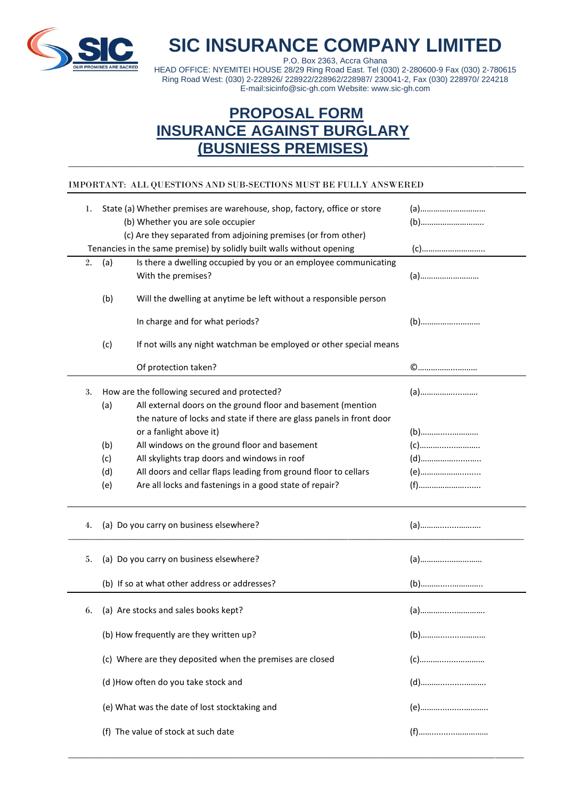

**SIC INSURANCE COMPANY LIMITED**

P.O. Box 2363, Accra Ghana HEAD OFFICE: NYEMITEI HOUSE 28/29 Ring Road East. Tel (030) 2-280600-9 Fax (030) 2-780615 Ring Road West: (030) 2-228926/ 228922/228962/228987/ 230041-2, Fax (030) 228970/ 224218 E-mail:sicinfo@sic-gh.com Website: www.sic-gh.com

## **PROPOSAL FORM INSURANCE AGAINST BURGLARY (BUSNIESS PREMISES)** \_\_\_\_\_\_\_\_\_\_\_\_\_\_\_\_\_\_\_\_\_\_\_\_\_\_\_\_\_\_\_\_\_\_\_\_\_\_\_\_\_\_\_\_\_\_\_\_\_\_\_\_\_\_\_\_\_\_\_\_\_\_\_\_\_\_\_\_\_\_\_\_\_\_\_\_\_\_\_\_\_\_\_\_\_\_\_\_\_\_\_\_\_\_\_\_

## IMPORTANT: ALL QUESTIONS AND SUB-SECTIONS MUST BE FULLY ANSWERED

| 1. | State (a) Whether premises are warehouse, shop, factory, office or store<br>(b) Whether you are sole occupier<br>(c) Are they separated from adjoining premises (or from other) |       |
|----|---------------------------------------------------------------------------------------------------------------------------------------------------------------------------------|-------|
|    | Tenancies in the same premise) by solidly built walls without opening                                                                                                           |       |
| 2. | Is there a dwelling occupied by you or an employee communicating<br>(a)<br>With the premises?                                                                                   |       |
|    | (b)<br>Will the dwelling at anytime be left without a responsible person                                                                                                        |       |
|    | In charge and for what periods?                                                                                                                                                 |       |
|    | (c)<br>If not wills any night watchman be employed or other special means                                                                                                       |       |
|    | Of protection taken?                                                                                                                                                            |       |
| 3. | How are the following secured and protected?                                                                                                                                    |       |
|    | All external doors on the ground floor and basement (mention<br>(a)                                                                                                             |       |
|    | the nature of locks and state if there are glass panels in front door                                                                                                           |       |
|    | or a fanlight above it)                                                                                                                                                         |       |
|    | All windows on the ground floor and basement<br>(b)                                                                                                                             |       |
|    | All skylights trap doors and windows in roof<br>(c)                                                                                                                             | $(d)$ |
|    | All doors and cellar flaps leading from ground floor to cellars<br>(d)                                                                                                          | (e)   |
|    | Are all locks and fastenings in a good state of repair?<br>(e)                                                                                                                  |       |
| 4. | (a) Do you carry on business elsewhere?                                                                                                                                         |       |
| 5. | (a) Do you carry on business elsewhere?                                                                                                                                         |       |
|    | (b) If so at what other address or addresses?                                                                                                                                   |       |
| 6. | (a) Are stocks and sales books kept?                                                                                                                                            |       |
|    | (b) How frequently are they written up?                                                                                                                                         |       |
|    | (c) Where are they deposited when the premises are closed                                                                                                                       |       |
|    | (d) How often do you take stock and                                                                                                                                             |       |
|    | (e) What was the date of lost stocktaking and                                                                                                                                   |       |
|    | (f) The value of stock at such date                                                                                                                                             |       |

\_\_\_\_\_\_\_\_\_\_\_\_\_\_\_\_\_\_\_\_\_\_\_\_\_\_\_\_\_\_\_\_\_\_\_\_\_\_\_\_\_\_\_\_\_\_\_\_\_\_\_\_\_\_\_\_\_\_\_\_\_\_\_\_\_\_\_\_\_\_\_\_\_\_\_\_\_\_\_\_\_\_\_\_\_\_\_\_\_\_\_\_\_\_\_\_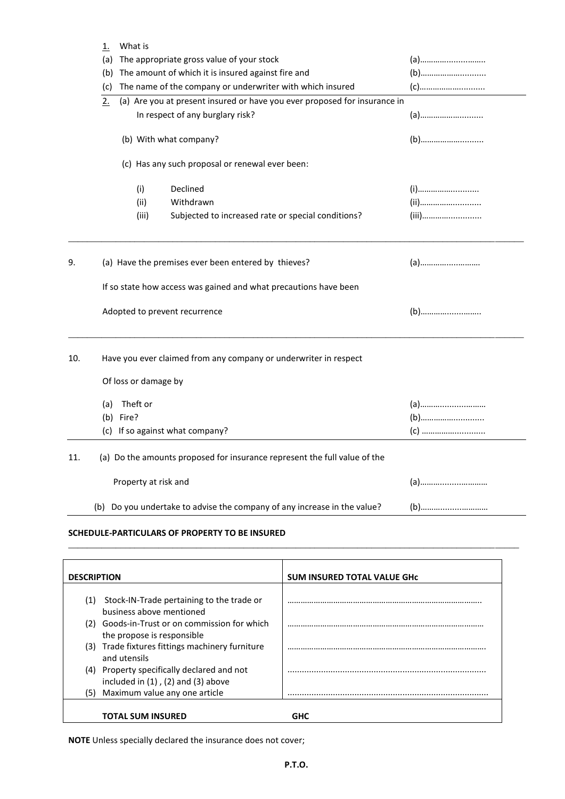| The appropriate gross value of your stock<br>(a)<br>(a)<br>The amount of which it is insured against fire and<br>(b)<br>(b)<br>The name of the company or underwriter with which insured<br>(c)<br>(a) Are you at present insured or have you ever proposed for insurance in<br>2.<br>In respect of any burglary risk?<br>(b) With what company?<br>(c) Has any such proposal or renewal ever been: |  |  |  |  |  |
|-----------------------------------------------------------------------------------------------------------------------------------------------------------------------------------------------------------------------------------------------------------------------------------------------------------------------------------------------------------------------------------------------------|--|--|--|--|--|
|                                                                                                                                                                                                                                                                                                                                                                                                     |  |  |  |  |  |
|                                                                                                                                                                                                                                                                                                                                                                                                     |  |  |  |  |  |
|                                                                                                                                                                                                                                                                                                                                                                                                     |  |  |  |  |  |
|                                                                                                                                                                                                                                                                                                                                                                                                     |  |  |  |  |  |
|                                                                                                                                                                                                                                                                                                                                                                                                     |  |  |  |  |  |
|                                                                                                                                                                                                                                                                                                                                                                                                     |  |  |  |  |  |
|                                                                                                                                                                                                                                                                                                                                                                                                     |  |  |  |  |  |
| Declined<br>(i)                                                                                                                                                                                                                                                                                                                                                                                     |  |  |  |  |  |
| (ii)<br>Withdrawn                                                                                                                                                                                                                                                                                                                                                                                   |  |  |  |  |  |
| (iii)<br>Subjected to increased rate or special conditions?                                                                                                                                                                                                                                                                                                                                         |  |  |  |  |  |
| (a) Have the premises ever been entered by thieves?<br>9.                                                                                                                                                                                                                                                                                                                                           |  |  |  |  |  |
| If so state how access was gained and what precautions have been                                                                                                                                                                                                                                                                                                                                    |  |  |  |  |  |
| Adopted to prevent recurrence                                                                                                                                                                                                                                                                                                                                                                       |  |  |  |  |  |
| Have you ever claimed from any company or underwriter in respect<br>10.                                                                                                                                                                                                                                                                                                                             |  |  |  |  |  |
| Of loss or damage by                                                                                                                                                                                                                                                                                                                                                                                |  |  |  |  |  |
| Theft or<br>(a)                                                                                                                                                                                                                                                                                                                                                                                     |  |  |  |  |  |
| (b) Fire?                                                                                                                                                                                                                                                                                                                                                                                           |  |  |  |  |  |
| (c) If so against what company?                                                                                                                                                                                                                                                                                                                                                                     |  |  |  |  |  |
| (a) Do the amounts proposed for insurance represent the full value of the<br>11.                                                                                                                                                                                                                                                                                                                    |  |  |  |  |  |
| Property at risk and                                                                                                                                                                                                                                                                                                                                                                                |  |  |  |  |  |
| Do you undertake to advise the company of any increase in the value?<br>(b)                                                                                                                                                                                                                                                                                                                         |  |  |  |  |  |

## **SCHEDULE-PARTICULARS OF PROPERTY TO BE INSURED**

| <b>DESCRIPTION</b> |                                                                                         | <b>SUM INSURED TOTAL VALUE GHC</b> |
|--------------------|-----------------------------------------------------------------------------------------|------------------------------------|
|                    |                                                                                         |                                    |
| (1)                | Stock-IN-Trade pertaining to the trade or<br>business above mentioned                   |                                    |
|                    | (2) Goods-in-Trust or on commission for which<br>the propose is responsible             |                                    |
| (3)                | Trade fixtures fittings machinery furniture<br>and utensils                             |                                    |
|                    | (4) Property specifically declared and not<br>included in $(1)$ , $(2)$ and $(3)$ above |                                    |
| (5)                | Maximum value any one article                                                           |                                    |
|                    | <b>TOTAL SUM INSURED</b>                                                                | GHC                                |

\_\_\_\_\_\_\_\_\_\_\_\_\_\_\_\_\_\_\_\_\_\_\_\_\_\_\_\_\_\_\_\_\_\_\_\_\_\_\_\_\_\_\_\_\_\_\_\_\_\_\_\_\_\_\_\_\_\_\_\_\_\_\_\_\_\_\_\_\_\_\_\_\_\_\_\_\_\_\_\_\_\_\_\_\_\_\_\_\_\_\_\_\_\_\_

**NOTE** Unless specially declared the insurance does not cover;